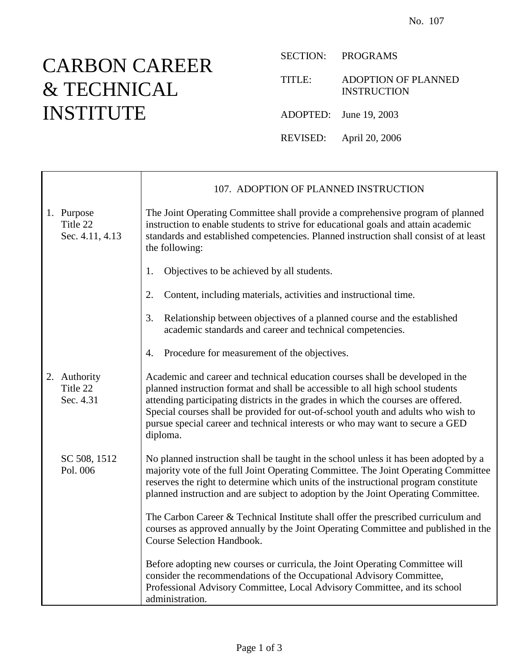## CARBON CAREER & TECHNICAL INSTITUTE

T

 $\mathsf{r}$ 

SECTION: PROGRAMS

TITLE: ADOPTION OF PLANNED INSTRUCTION

ADOPTED: June 19, 2003

REVISED: April 20, 2006

|                                           | 107. ADOPTION OF PLANNED INSTRUCTION                                                                                                                                                                                                                                                                                                                                                                                                  |
|-------------------------------------------|---------------------------------------------------------------------------------------------------------------------------------------------------------------------------------------------------------------------------------------------------------------------------------------------------------------------------------------------------------------------------------------------------------------------------------------|
| 1. Purpose<br>Title 22<br>Sec. 4.11, 4.13 | The Joint Operating Committee shall provide a comprehensive program of planned<br>instruction to enable students to strive for educational goals and attain academic<br>standards and established competencies. Planned instruction shall consist of at least<br>the following:                                                                                                                                                       |
|                                           | Objectives to be achieved by all students.<br>1.                                                                                                                                                                                                                                                                                                                                                                                      |
|                                           | Content, including materials, activities and instructional time.<br>2.                                                                                                                                                                                                                                                                                                                                                                |
|                                           | Relationship between objectives of a planned course and the established<br>3.<br>academic standards and career and technical competencies.                                                                                                                                                                                                                                                                                            |
|                                           | Procedure for measurement of the objectives.<br>4.                                                                                                                                                                                                                                                                                                                                                                                    |
| 2. Authority<br>Title 22<br>Sec. 4.31     | Academic and career and technical education courses shall be developed in the<br>planned instruction format and shall be accessible to all high school students<br>attending participating districts in the grades in which the courses are offered.<br>Special courses shall be provided for out-of-school youth and adults who wish to<br>pursue special career and technical interests or who may want to secure a GED<br>diploma. |
| SC 508, 1512<br>Pol. 006                  | No planned instruction shall be taught in the school unless it has been adopted by a<br>majority vote of the full Joint Operating Committee. The Joint Operating Committee<br>reserves the right to determine which units of the instructional program constitute<br>planned instruction and are subject to adoption by the Joint Operating Committee.                                                                                |
|                                           | The Carbon Career & Technical Institute shall offer the prescribed curriculum and<br>courses as approved annually by the Joint Operating Committee and published in the<br><b>Course Selection Handbook.</b>                                                                                                                                                                                                                          |
|                                           | Before adopting new courses or curricula, the Joint Operating Committee will<br>consider the recommendations of the Occupational Advisory Committee,<br>Professional Advisory Committee, Local Advisory Committee, and its school<br>administration.                                                                                                                                                                                  |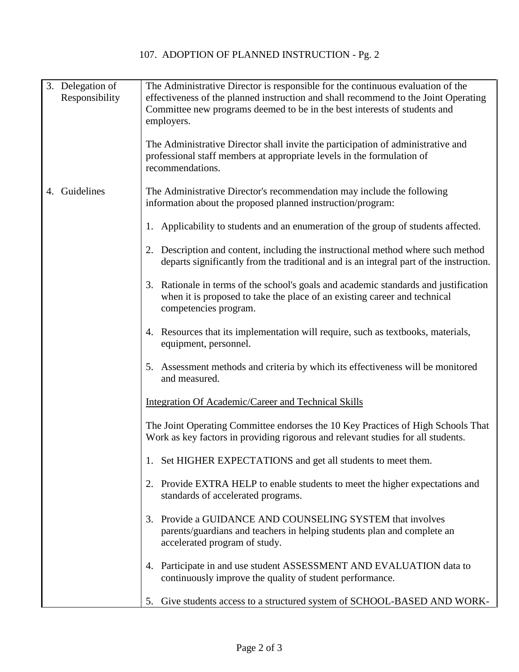| 3. Delegation of<br>Responsibility | The Administrative Director is responsible for the continuous evaluation of the<br>effectiveness of the planned instruction and shall recommend to the Joint Operating<br>Committee new programs deemed to be in the best interests of students and<br>employers.<br>The Administrative Director shall invite the participation of administrative and |
|------------------------------------|-------------------------------------------------------------------------------------------------------------------------------------------------------------------------------------------------------------------------------------------------------------------------------------------------------------------------------------------------------|
|                                    | professional staff members at appropriate levels in the formulation of<br>recommendations.                                                                                                                                                                                                                                                            |
| 4. Guidelines                      | The Administrative Director's recommendation may include the following<br>information about the proposed planned instruction/program:                                                                                                                                                                                                                 |
|                                    | 1. Applicability to students and an enumeration of the group of students affected.                                                                                                                                                                                                                                                                    |
|                                    | 2. Description and content, including the instructional method where such method<br>departs significantly from the traditional and is an integral part of the instruction.                                                                                                                                                                            |
|                                    | 3. Rationale in terms of the school's goals and academic standards and justification<br>when it is proposed to take the place of an existing career and technical<br>competencies program.                                                                                                                                                            |
|                                    | 4. Resources that its implementation will require, such as textbooks, materials,<br>equipment, personnel.                                                                                                                                                                                                                                             |
|                                    | 5. Assessment methods and criteria by which its effectiveness will be monitored<br>and measured.                                                                                                                                                                                                                                                      |
|                                    | Integration Of Academic/Career and Technical Skills                                                                                                                                                                                                                                                                                                   |
|                                    | The Joint Operating Committee endorses the 10 Key Practices of High Schools That<br>Work as key factors in providing rigorous and relevant studies for all students.                                                                                                                                                                                  |
|                                    | 1. Set HIGHER EXPECTATIONS and get all students to meet them.                                                                                                                                                                                                                                                                                         |
|                                    | Provide EXTRA HELP to enable students to meet the higher expectations and<br>2.<br>standards of accelerated programs.                                                                                                                                                                                                                                 |
|                                    | Provide a GUIDANCE AND COUNSELING SYSTEM that involves<br>3.<br>parents/guardians and teachers in helping students plan and complete an<br>accelerated program of study.                                                                                                                                                                              |
|                                    | 4. Participate in and use student ASSESSMENT AND EVALUATION data to<br>continuously improve the quality of student performance.                                                                                                                                                                                                                       |
|                                    | 5. Give students access to a structured system of SCHOOL-BASED AND WORK-                                                                                                                                                                                                                                                                              |